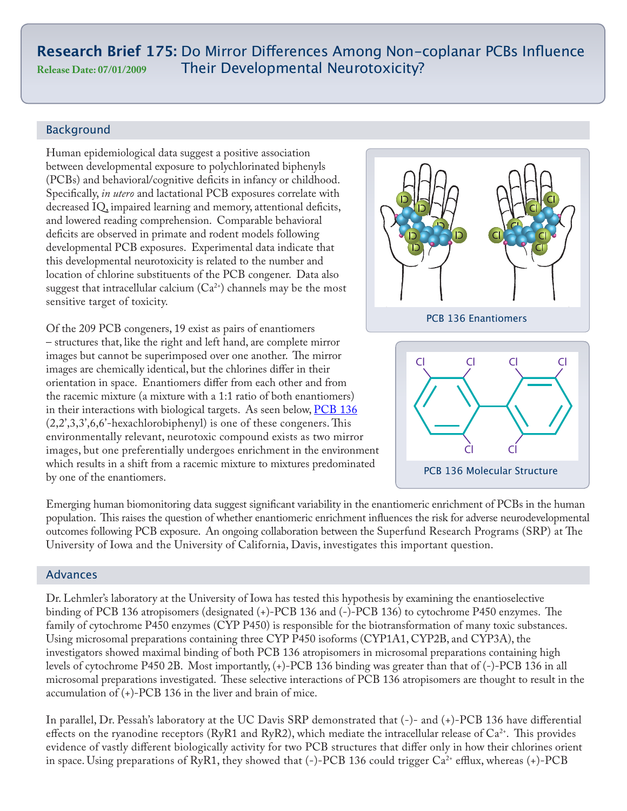# **Research Brief 175:** Do Mirror Differences Among Non-coplanar PCBs Influence **Release Date: 07/01/2009** Their Developmental Neurotoxicity?

## Background

Human epidemiological data suggest a positive association between developmental exposure to polychlorinated biphenyls (PCBs) and behavioral/cognitive deficits in infancy or childhood. Specifically, *in utero* and lactational PCB exposures correlate with decreased IQ, impaired learning and memory, attentional deficits, and lowered reading comprehension. Comparable behavioral deficits are observed in primate and rodent models following developmental PCB exposures. Experimental data indicate that this developmental neurotoxicity is related to the number and location of chlorine substituents of the PCB congener. Data also suggest that intracellular calcium  $(Ca^{2+})$  channels may be the most sensitive target of toxicity.

Of the 209 PCB congeners, 19 exist as pairs of enantiomers – structures that, like the right and left hand, are complete mirror images but cannot be superimposed over one another. The mirror images are chemically identical, but the chlorines differ in their orientation in space. Enantiomers differ from each other and from the racemic mixture (a mixture with a 1:1 ratio of both enantiomers) in their interactions with biological targets. As seen below, PCB 136 (2,2',3,3',6,6'-hexachlorobiphenyl) is one of these congeners. This environmentally relevant, neurotoxic compound exists as two mirror images, but one preferentially undergoes enrichment in the environment which results in a shift from a racemic mixture to mixtures predominated by one of the enantiomers.



Emerging human biomonitoring data suggest significant variability in the enantiomeric enrichment of PCBs in the human population. This raises the question of whether enantiomeric enrichment influences the risk for adverse neurodevelopmental outcomes following PCB exposure. An ongoing collaboration between the Superfund Research Programs (SRP) at The University of Iowa and the University of California, Davis, investigates this important question.

## **Advances**

Dr. Lehmler's laboratory at the University of Iowa has tested this hypothesis by examining the enantioselective binding of PCB 136 atropisomers (designated (+)-PCB 136 and (-)-PCB 136) to cytochrome P450 enzymes. The family of cytochrome P450 enzymes (CYP P450) is responsible for the biotransformation of many toxic substances. Using microsomal preparations containing three CYP P450 isoforms (CYP1A1, CYP2B, and CYP3A), the investigators showed maximal binding of both PCB 136 atropisomers in microsomal preparations containing high levels of cytochrome P450 2B. Most importantly, (+)-PCB 136 binding was greater than that of (-)-PCB 136 in all microsomal preparations investigated. These selective interactions of PCB 136 atropisomers are thought to result in the accumulation of (+)-PCB 136 in the liver and brain of mice.

In parallel, Dr. Pessah's laboratory at the UC Davis SRP demonstrated that (-)- and (+)-PCB 136 have differential effects on the ryanodine receptors (RyR1 and RyR2), which mediate the intracellular release of  $Ca^{2+}$ . This provides evidence of vastly different biologically activity for two PCB structures that differ only in how their chlorines orient in space. Using preparations of RyR1, they showed that  $(-)$ -PCB 136 could trigger Ca<sup>2+</sup> efflux, whereas  $(+)$ -PCB